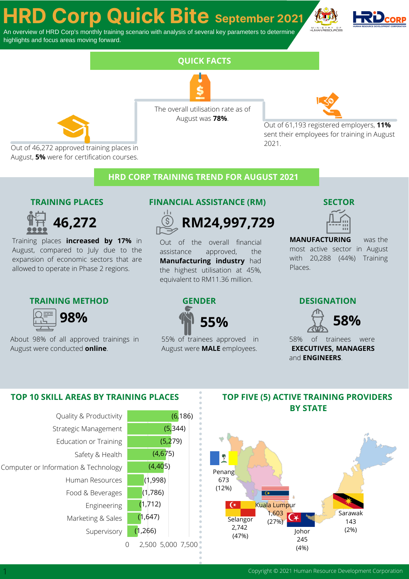# **HRD Corp Quick Bite September <sup>2021</sup>**

An overview of HRD Corp's monthly training scenario with analysis of several key parameters to determine highlights and focus areas moving forward.





The overall utilisation rate as of August was **78%**.

**FUN FACTS QUICK FACTS**



Out of 61,193 registered employers, **11%** sent their employees for training in August 2021.

Out of 46,272 approved training places in August, **5%** were for certification courses.

# **HRD CORP TRAINING TREND FOR AUGUST 2021**

# **TRAINING PLACES**



Training places **increased by 17%** in August, compared to July due to the expansion of economic sectors that are allowed to operate in Phase 2 regions.

## **TRAINING METHOD GENDER DESIGNATION**



About 98% of all approved trainings in August were conducted **online**.

### **FINANCIAL ASSISTANCE (RM) SECTOR**



Out of the overall financial assistance approved, the **Manufacturing industry** had the highest utilisation at 45%, equivalent to RM11.36 million.



was the most active sector in August with 20,288 (44%) Training Places. **MANUFACTURING**

**55%**

55% of trainees approved in August were **MALE** employees.



58% of trainees were **EXECUTIVES, MANAGERS** and **ENGINEERS**.



## **TOP FIVE (5) ACTIVE TRAINING PROVIDERS BY STATE**